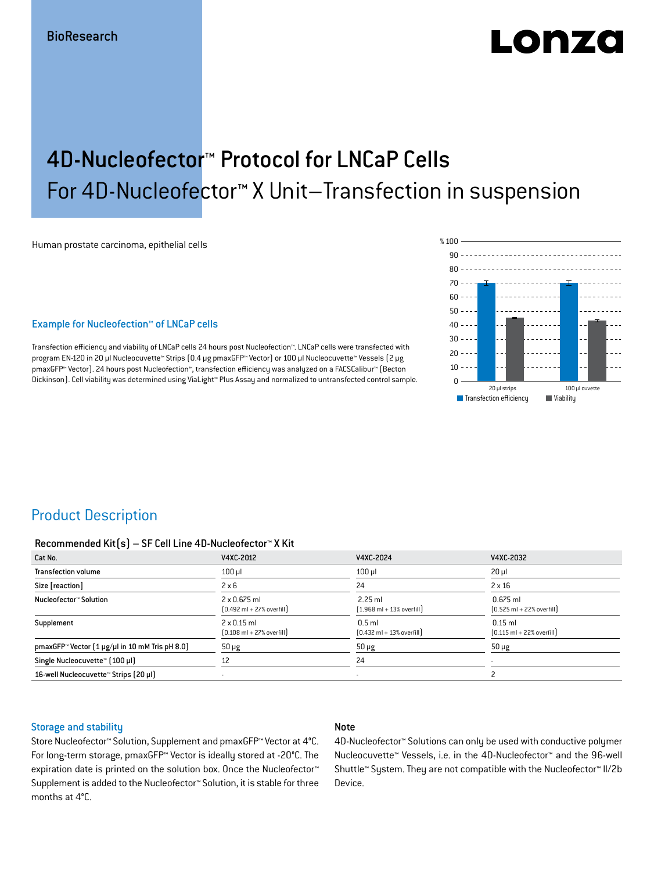# Lonzo

## 4D-Nucleofector™ Protocol for LNCaP Cells For 4D-Nucleofector™ X Unit–Transfection in suspension

Human prostate carcinoma, epithelial cells

#### Example for Nucleofection™ of LNCaP cells

Transfection efficiency and viability of LNCaP cells 24 hours post Nucleofection™. LNCaP cells were transfected with program EN-120 in 20 μl Nucleocuvette™ Strips (0.4 μg pmaxGFP™ Vector) or 100 μl Nucleocuvette™ Vessels (2 μg pmaxGFP™ Vector). 24 hours post Nucleofection™, transfection efficiency was analyzed on a FACSCalibur™ (Becton Dickinson). Cell viability was determined using ViaLight™ Plus Assay and normalized to untransfected control sample.



## Product Description

#### Recommended Kit(s) – SF Cell Line 4D-Nucleofector™ X Kit

| Cat No.                                                           | V4XC-2012                                                           | V4XC-2024                                                 | V4XC-2032                                                  |
|-------------------------------------------------------------------|---------------------------------------------------------------------|-----------------------------------------------------------|------------------------------------------------------------|
| <b>Transfection volume</b>                                        | $100$ $\mu$                                                         | $100$ $\mu$                                               | $20 \mu$                                                   |
| Size [reaction]                                                   | $2 \times 6$                                                        | 24                                                        | $2 \times 16$                                              |
| Nucleofector™ Solution                                            | $2 \times 0.675$ ml<br>$[0.492 \text{ ml} + 27\% \text{ overfill}]$ | $2.25$ ml<br>$(1.968 \text{ ml} + 13\% \text{ overfill})$ | $0.675$ ml<br>$[0.525 \text{ ml} + 22\% \text{ overfill}]$ |
| Supplement                                                        | $2 \times 0.15$ ml<br>$[0.108 \text{ ml} + 27\% \text{ overfill}]$  | $0.5$ ml<br>$[0.432 \text{ ml} + 13\% \text{ overfill}]$  | $0.15$ ml<br>$[0.115 \text{ ml} + 22\% \text{ overfill}]$  |
| pmaxGFP <sup>*</sup> Vector $(1 \mu g/\mu)$ in 10 mM Tris pH 8.0) | $50 \mu g$                                                          | $50 \mu g$                                                | $50 \mu g$                                                 |
| Single Nucleocuvette™ [100 µl]                                    | 12                                                                  | 24                                                        | $\overline{\phantom{a}}$                                   |
| 16-well Nucleocuvette™ Strips (20 µl)                             |                                                                     | $\blacksquare$                                            |                                                            |

#### Storage and stability

#### Note

Store Nucleofector™ Solution, Supplement and pmaxGFP™ Vector at 4°C. For long-term storage, pmaxGFP™ Vector is ideally stored at -20°C. The expiration date is printed on the solution box. Once the Nucleofector™ Supplement is added to the Nucleofector™ Solution, it is stable for three months at 4°C.

4D-Nucleofector™ Solutions can only be used with conductive polymer Nucleocuvette™ Vessels, i.e. in the 4D-Nucleofector™ and the 96-well Shuttle™ System. They are not compatible with the Nucleofector™ II/2b Device.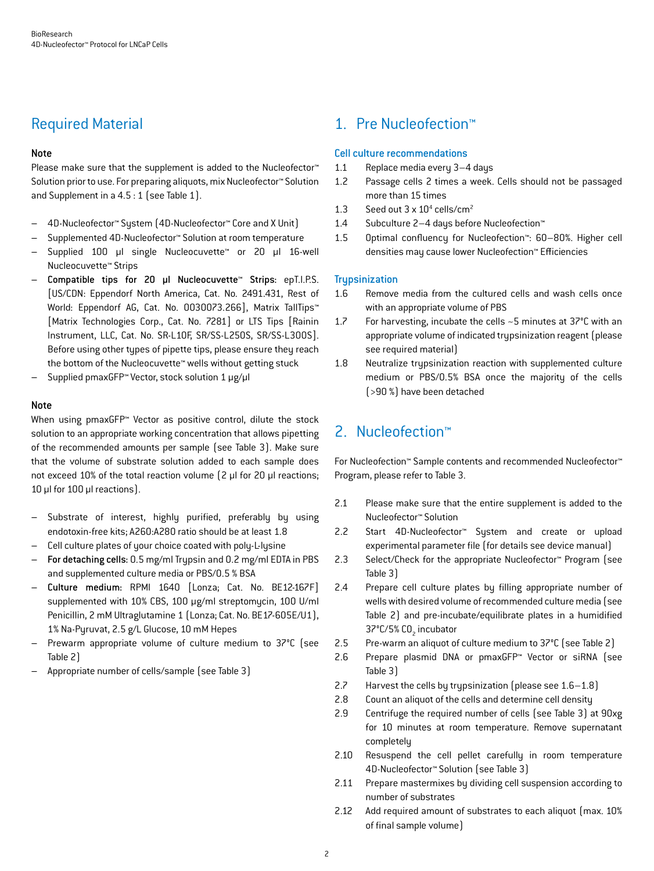## Required Material

#### Note

Please make sure that the supplement is added to the Nucleofector<sup>™</sup> Solution prior to use. For preparing aliquots, mix Nucleofector™ Solution and Supplement in a 4.5 : 1 (see Table 1).

- 4D-Nucleofector™ System (4D-Nucleofector™ Core and X Unit)
- Supplemented 4D-Nucleofector™ Solution at room temperature
- Supplied 100 µl single Nucleocuvette™ or 20 µl 16-well Nucleocuvette™ Strips
- Compatible tips for 20 µl Nucleocuvette™ Strips: epT.I.P.S. [US/CDN: Eppendorf North America, Cat. No. 2491.431, Rest of World: Eppendorf AG, Cat. No. 0030073.266], Matrix TallTips™ [Matrix Technologies Corp., Cat. No. 7281] or LTS Tips [Rainin Instrument, LLC, Cat. No. SR-L10F, SR/SS-L250S, SR/SS-L300S]. Before using other types of pipette tips, please ensure they reach the bottom of the Nucleocuvette™ wells without getting stuck
- Supplied pmaxGFP™ Vector, stock solution 1 μg/μl

#### Note

When using pmaxGFP™ Vector as positive control, dilute the stock solution to an appropriate working concentration that allows pipetting of the recommended amounts per sample (see Table 3). Make sure that the volume of substrate solution added to each sample does not exceed 10% of the total reaction volume (2 μl for 20 μl reactions; 10 μl for 100 μl reactions).

- Substrate of interest, highly purified, preferably by using endotoxin-free kits; A260:A280 ratio should be at least 1.8
- Cell culture plates of your choice coated with poly-L-lysine
- For detaching cells: 0.5 mg/ml Trypsin and 0.2 mg/ml EDTA in PBS and supplemented culture media or PBS/0.5 % BSA
- Culture medium: RPMI 1640 [Lonza; Cat. No. BE12-167F] supplemented with 10% CBS, 100 μg/ml streptomycin, 100 U/ml Penicillin, 2 mM Ultraglutamine 1 (Lonza; Cat. No. BE17-605E/U1), 1% Na-Pyruvat, 2.5 g/L Glucose, 10 mM Hepes
- Prewarm appropriate volume of culture medium to 37°C (see Table 2)
- Appropriate number of cells/sample (see Table 3)

## 1. Pre Nucleofection™

#### Cell culture recommendations

- 1.1 Replace media every 3–4 days
- 1.2 Passage cells 2 times a week. Cells should not be passaged more than 15 times
- 1.3 Seed out  $3 \times 10^4$  cells/cm<sup>2</sup>
- 1.4 Subculture 2–4 days before Nucleofection™
- 1.5 Optimal confluency for Nucleofection™: 60–80%. Higher cell densities may cause lower Nucleofection™ Efficiencies

#### **Trypsinization**

- 1.6 Remove media from the cultured cells and wash cells once with an appropriate volume of PBS
- 1.7 For harvesting, incubate the cells ~5 minutes at 37°C with an appropriate volume of indicated trypsinization reagent (please see required material)
- 1.8 Neutralize trypsinization reaction with supplemented culture medium or PBS/0.5% BSA once the majority of the cells (>90 %) have been detached

## 2. Nucleofection™

For Nucleofection™ Sample contents and recommended Nucleofector™ Program, please refer to Table 3.

- 2.1 Please make sure that the entire supplement is added to the Nucleofector™ Solution
- 2.2 Start 4D-Nucleofector™ System and create or upload experimental parameter file (for details see device manual)
- 2.3 Select/Check for the appropriate Nucleofector™ Program (see Table 3)
- 2.4 Prepare cell culture plates by filling appropriate number of wells with desired volume of recommended culture media (see Table 2) and pre-incubate/equilibrate plates in a humidified 37°C/5% CO<sub>2</sub> incubator
- 2.5 Pre-warm an aliquot of culture medium to 37°C (see Table 2)
- 2.6 Prepare plasmid DNA or pmaxGFP™ Vector or siRNA (see Table 3)
- 2.7 Harvest the cells by trypsinization (please see 1.6–1.8)
- 2.8 Count an aliquot of the cells and determine cell density
- 2.9 Centrifuge the required number of cells (see Table 3) at 90xg for 10 minutes at room temperature. Remove supernatant completely
- 2.10 Resuspend the cell pellet carefully in room temperature 4D-Nucleofector™ Solution (see Table 3)
- 2.11 Prepare mastermixes by dividing cell suspension according to number of substrates
- 2.12 Add required amount of substrates to each aliquot (max. 10% of final sample volume)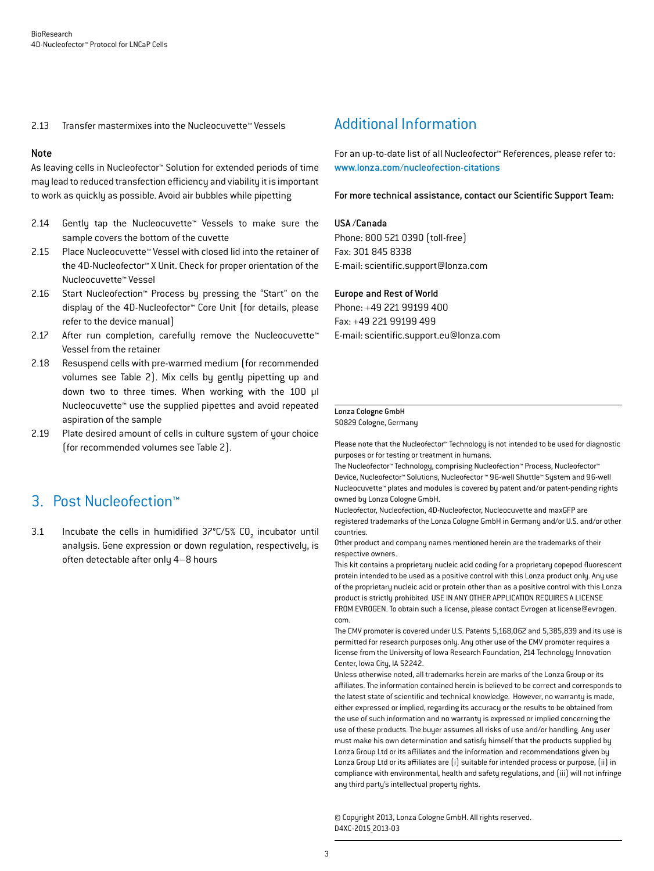2.13 Transfer mastermixes into the Nucleocuvette™ Vessels

#### Note

As leaving cells in Nucleofector™ Solution for extended periods of time may lead to reduced transfection efficiency and viability it is important to work as quickly as possible. Avoid air bubbles while pipetting

- 2.14 Gently tap the Nucleocuvette™ Vessels to make sure the sample covers the bottom of the cuvette
- 2.15 Place Nucleocuvette™ Vessel with closed lid into the retainer of the 4D-Nucleofector™ X Unit. Check for proper orientation of the Nucleocuvette™ Vessel
- 2.16 Start Nucleofection™ Process by pressing the "Start" on the display of the 4D-Nucleofector™ Core Unit (for details, please refer to the device manual)
- 2.17 After run completion, carefully remove the Nucleocuvette™ Vessel from the retainer
- 2.18 Resuspend cells with pre-warmed medium (for recommended volumes see Table 2). Mix cells by gently pipetting up and down two to three times. When working with the 100 µl Nucleocuvette™ use the supplied pipettes and avoid repeated aspiration of the sample
- 2.19 Plate desired amount of cells in culture system of your choice (for recommended volumes see Table 2).

## 3. Post Nucleofection™

3.1 Incubate the cells in humidified  $37^{\circ}$ C/5% CO<sub>2</sub> incubator until analysis. Gene expression or down regulation, respectively, is often detectable after only 4–8 hours

## Additional Information

For an up-to-date list of all Nucleofector™ References, please refer to: www.lonza.com/nucleofection-citations

For more technical assistance, contact our Scientific Support Team:

#### USA /Canada

Phone: 800 521 0390 (toll-free) Fax: 301 845 8338 E-mail: scientific.support@lonza.com

#### Europe and Rest of World

Phone: +49 221 99199 400 Fax: +49 221 99199 499 E-mail: scientific.support.eu@lonza.com

#### Lonza Cologne GmbH

50829 Cologne, Germany

Please note that the Nucleofector™ Technology is not intended to be used for diagnostic purposes or for testing or treatment in humans.

The Nucleofector™ Technology, comprising Nucleofection™ Process, Nucleofector™ Device, Nucleofector™ Solutions, Nucleofector ™ 96-well Shuttle™ System and 96-well Nucleocuvette™ plates and modules is covered by patent and/or patent-pending rights owned by Lonza Cologne GmbH.

Nucleofector, Nucleofection, 4D-Nucleofector, Nucleocuvette and maxGFP are registered trademarks of the Lonza Cologne GmbH in Germany and/or U.S. and/or other countries.

Other product and company names mentioned herein are the trademarks of their respective owners.

This kit contains a proprietary nucleic acid coding for a proprietary copepod fluorescent protein intended to be used as a positive control with this Lonza product only. Any use of the proprietary nucleic acid or protein other than as a positive control with this Lonza product is strictly prohibited. USE IN ANY OTHER APPLICATION REQUIRES A LICENSE FROM EVROGEN. To obtain such a license, please contact Evrogen at license@evrogen. com.

The CMV promoter is covered under U.S. Patents 5,168,062 and 5,385,839 and its use is permitted for research purposes only. Any other use of the CMV promoter requires a license from the University of Iowa Research Foundation, 214 Technology Innovation Center, Iowa City, IA 52242.

Unless otherwise noted, all trademarks herein are marks of the Lonza Group or its affiliates. The information contained herein is believed to be correct and corresponds to the latest state of scientific and technical knowledge. However, no warranty is made, either expressed or implied, regarding its accuracy or the results to be obtained from the use of such information and no warranty is expressed or implied concerning the use of these products. The buyer assumes all risks of use and/or handling. Any user must make his own determination and satisfy himself that the products supplied by Lonza Group Ltd or its affiliates and the information and recommendations given by Lonza Group Ltd or its affiliates are (i) suitable for intended process or purpose, (ii) in compliance with environmental, health and safety regulations, and (iii) will not infringe any third party's intellectual property rights.

© Copyright 2013, Lonza Cologne GmbH. All rights reserved. D4XC-2015\_2013-03